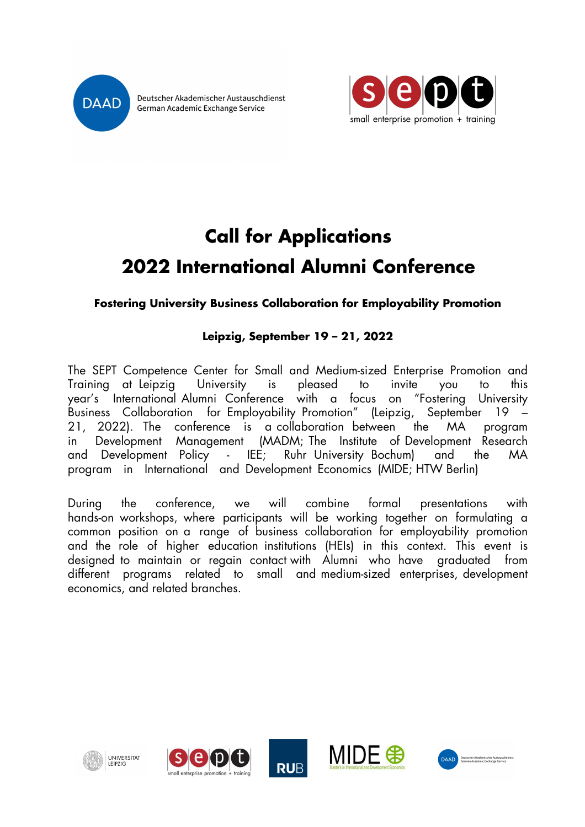

Deutscher Akademischer Austauschdienst German Academic Exchange Service



# **Call for Applications 2022 International Alumni Conference**

### **Fostering University Business Collaboration for Employability Promotion**

# **Leipzig, September 19 – 21, 2022**

The SEPT Competence Center for Small and Medium-sized Enterprise Promotion and Training at Leipzig University is pleased to invite you to this year's International Alumni Conference with a focus on "Fostering University Business Collaboration for Employability Promotion" (Leipzig, September 19 – 21, 2022). The conference is a collaboration between the MA program in Development Management (MADM; The Institute of Development Research and Development Policy - IEE; Ruhr University Bochum) and the MA program in International and Development Economics (MIDE; HTW Berlin)

During the conference, we will combine formal presentations with hands-on workshops, where participants will be working together on formulating a common position on a range of business collaboration for employability promotion and the role of higher education institutions (HEIs) in this context. This event is designed to maintain or regain contact with Alumni who have graduated from different programs related to small and medium-sized enterprises, development economics, and related branches.

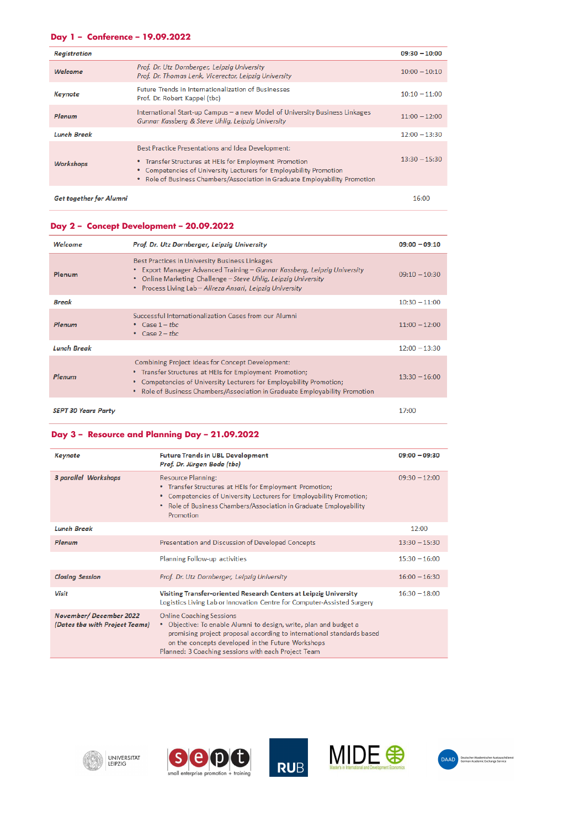#### **Day 1 – Conference – 19.09.2022**

| <b>Registration</b>            |                                                                                                                                                                                                                                                                  | $09:30 - 10:00$ |
|--------------------------------|------------------------------------------------------------------------------------------------------------------------------------------------------------------------------------------------------------------------------------------------------------------|-----------------|
| Welcome                        | Prof. Dr. Utz Dornberger, Leipzig University<br>Prof. Dr. Thomas Lenk, Vicerector, Leipzig University                                                                                                                                                            | $10:00 - 10:10$ |
| Keynote                        | <b>Future Trends in Internationalization of Businesses</b><br>Prof. Dr. Robert Kappel (tbc)                                                                                                                                                                      | $10:10 - 11:00$ |
| Plenum                         | International Start-up Campus - a new Model of University Business Linkages<br>Gunnar Kassberg & Steve Uhlig, Leipzig University                                                                                                                                 | $11:00 - 12:00$ |
| <b>Lunch Break</b>             |                                                                                                                                                                                                                                                                  | $12:00 - 13:30$ |
| <b>Workshops</b>               | Best Practice Presentations and Idea Development:<br>• Transfer Structures at HEIs for Employment Promotion<br>• Competencies of University Lecturers for Employability Promotion<br>• Role of Business Chambers/Association in Graduate Employability Promotion | $13:30 - 15:30$ |
| <b>Get together for Alumni</b> |                                                                                                                                                                                                                                                                  | 16:00           |

#### **Day 2 – Concept Development – 20.09.2022**

| Welcome                    | Prof. Dr. Utz Dornberger, Leipzig University                                                                                                                                                                                                                  | $09:00 - 09:10$ |
|----------------------------|---------------------------------------------------------------------------------------------------------------------------------------------------------------------------------------------------------------------------------------------------------------|-----------------|
| Plenum                     | Best Practices in University Business Linkages<br>Export Manager Advanced Training - Gunnar Kassberg, Leipzig University<br>Online Marketing Challenge - Steve Uhlig, Leipzig University<br>٠<br>Process Living Lab - Alireza Ansari, Leipzig University      | $09:10 - 10:30$ |
| <b>Break</b>               |                                                                                                                                                                                                                                                               | $10:30 - 11:00$ |
| Plenum                     | Successful Internationalization Cases from our Alumni<br>• Case $1 - the$<br>Case $2 - tbc$<br>$\bullet$                                                                                                                                                      | $11:00 - 12:00$ |
| <b>Lunch Break</b>         |                                                                                                                                                                                                                                                               | $12:00 - 13:30$ |
| Plenum                     | Combining Project Ideas for Concept Development:<br>• Transfer Structures at HEIs for Employment Promotion;<br>Competencies of University Lecturers for Employability Promotion;<br>Role of Business Chambers/Association in Graduate Employability Promotion | $13:30 - 16:00$ |
| <b>SEPT 30 Years Party</b> |                                                                                                                                                                                                                                                               | 17:00           |

#### **Day 3 – Resource and Planning Day – 21.09.2022**

| Keynote                                                  | <b>Future Trends in UBL Development</b><br>Prof. Dr. Jürgen Bode (tbc)                                                                                                                                                                                                                    | $09:00 - 09:30$ |
|----------------------------------------------------------|-------------------------------------------------------------------------------------------------------------------------------------------------------------------------------------------------------------------------------------------------------------------------------------------|-----------------|
| 3 parallel Workshops                                     | <b>Resource Planning:</b><br>• Transfer Structures at HEIs for Employment Promotion;<br>• Competencies of University Lecturers for Employability Promotion;<br>• Role of Business Chambers/Association in Graduate Employability<br>Promotion                                             | $09:30 - 12:00$ |
| <b>Lunch Break</b>                                       |                                                                                                                                                                                                                                                                                           | 12:00           |
| Plenum                                                   | Presentation and Discussion of Developed Concepts                                                                                                                                                                                                                                         | $13:30 - 15:30$ |
|                                                          | Planning Follow-up activities                                                                                                                                                                                                                                                             | $15:30 - 16:00$ |
| <b>Closing Session</b>                                   | Prof. Dr. Utz Dornberger, Leipzig University                                                                                                                                                                                                                                              | $16:00 - 16:30$ |
| <b>Visit</b>                                             | Visiting Transfer-oriented Research Centers at Leipzig University<br>Logistics Living Lab or Innovation Centre for Computer-Assisted Surgery                                                                                                                                              | $16:30 - 18:00$ |
| November/December 2022<br>(Dates tha with Project Teams) | <b>Online Coaching Sessions</b><br>• Objective: To enable Alumni to design, write, plan and budget a<br>promising project proposal according to international standards based<br>on the concepts developed in the Future Workshops<br>Planned: 3 Coaching sessions with each Project Team |                 |









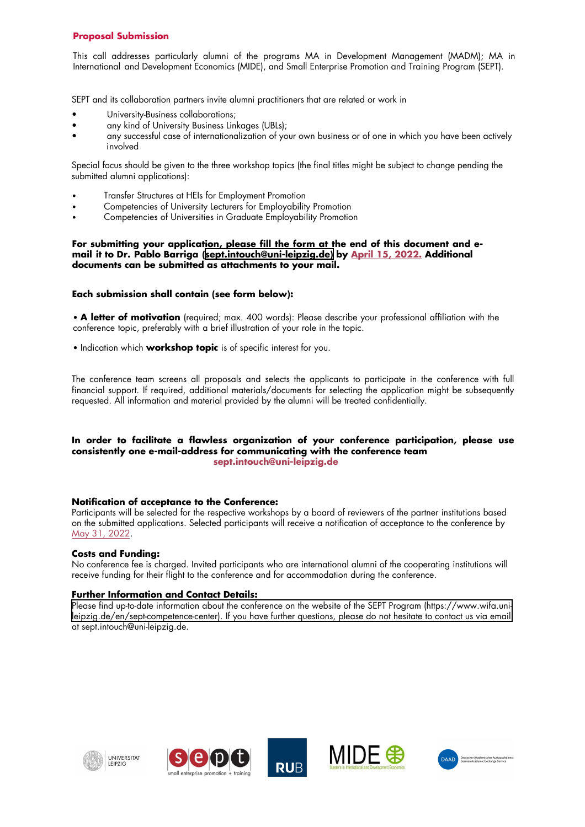#### **Proposal Submission**

This call addresses particularly alumni of the programs MA in Development Management (MADM); MA in International and Development Economics (MIDE), and Small Enterprise Promotion and Training Program (SEPT).

SEPT and its collaboration partners invite alumni practitioners that are related or work in

- University-Business collaborations;
- any kind of University Business Linkages (UBLs);
- any successful case of internationalization of your own business or of one in which you have been actively involved

Special focus should be given to the three workshop topics (the final titles might be subject to change pending the submitted alumni applications):

- Transfer Structures at HEIs for Employment Promotion
- Competencies of University Lecturers for Employability Promotion
- Competencies of Universities in Graduate Employability Promotion

#### **For submitting your application, please fill the form at the end of this document and email it to Dr. Pablo Barriga (sept.intouch@uni-leipzig.de) by April 15, 2022. Additional documents can be submitted as attachments to your mail.**

#### **Each submission shall contain (see form below):**

• **A letter of motivation** (required; max. 400 words): Please describe your professional affiliation with the conference topic, preferably with a brief illustration of your role in the topic.

• Indication which **workshop topic** is of specific interest for you.

The conference team screens all proposals and selects the applicants to participate in the conference with full financial support. If required, additional materials/documents for selecting the application might be subsequently requested. All information and material provided by the alumni will be treated confidentially.

#### **In order to facilitate a flawless organization of your conference participation, please use consistently one e-mail-address for communicating with the conference team sept.intouch@uni-leipzig.de**

#### **Notification of acceptance to the Conference:**

Participants will be selected for the respective workshops by a board of reviewers of the partner institutions based on the submitted applications. Selected participants will receive a notification of acceptance to the conference by May 31, 2022.

#### **Costs and Funding:**

No conference fee is charged. Invited participants who are international alumni of the cooperating institutions will receive funding for their flight to the conference and for accommodation during the conference.

#### **Further Information and Contact Details:**

[Please find up-to-date information about the conference on the website of the SEPT Program \(https://www.wifa.uni](https://www.wifa.uni-leipzig.de/en/sept-competence-center)leipzig.de/en/sept-competence-center). If you have further questions, please do not hesitate to contact us via email at sept.intouch@uni-leipzig.de.







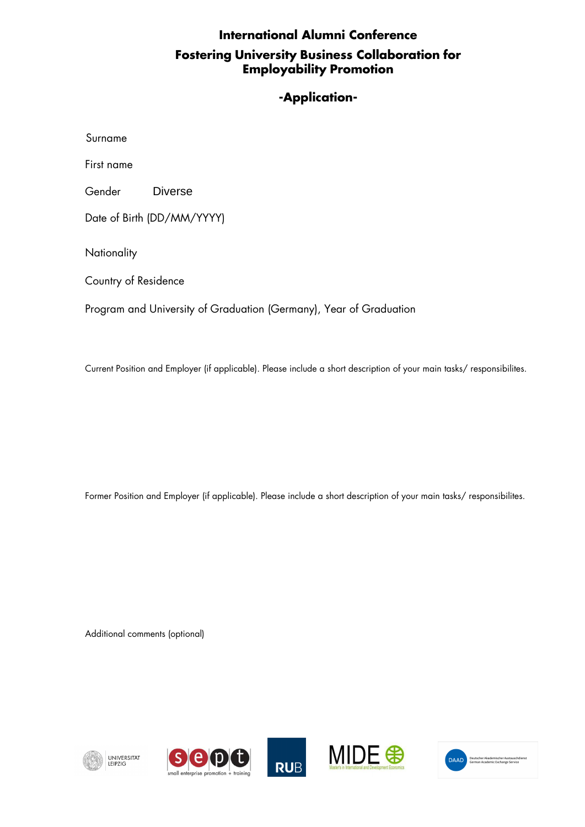# **International Alumni Conference Fostering University Business Collaboration for Employability Promotion**

## **-Application-**

| Surname                                                            |         |  |
|--------------------------------------------------------------------|---------|--|
| First name                                                         |         |  |
| Gender                                                             | Diverse |  |
| Date of Birth (DD/MM/YYYY)                                         |         |  |
| Nationality                                                        |         |  |
| Country of Residence                                               |         |  |
| Program and University of Graduation (Germany), Year of Graduation |         |  |
|                                                                    |         |  |

Current Position and Employer (if applicable). Please include a short description of your main tasks/ responsibilites.

Former Position and Employer (if applicable). Please include a short description of your main tasks/ responsibilites.

Additional comments (optional)